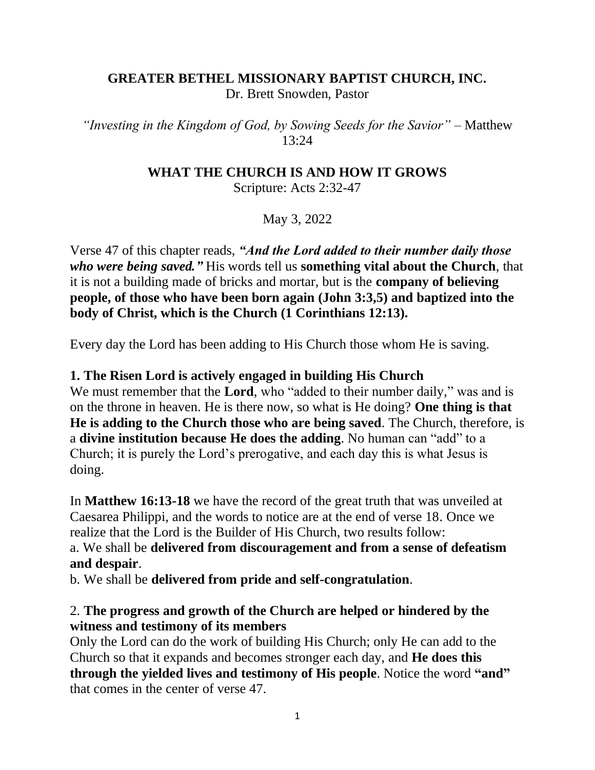#### **GREATER BETHEL MISSIONARY BAPTIST CHURCH, INC.** Dr. Brett Snowden, Pastor

*"Investing in the Kingdom of God, by Sowing Seeds for the Savior"* – Matthew 13:24

#### **WHAT THE CHURCH IS AND HOW IT GROWS**

Scripture: Acts 2:32-47

May 3, 2022

Verse 47 of this chapter reads, *"And the Lord added to their number daily those who were being saved."* His words tell us **something vital about the Church**, that it is not a building made of bricks and mortar, but is the **company of believing people, of those who have been born again (John 3:3,5) and baptized into the body of Christ, which is the Church (1 Corinthians 12:13).**

Every day the Lord has been adding to His Church those whom He is saving.

### **1. The Risen Lord is actively engaged in building His Church**

We must remember that the **Lord**, who "added to their number daily," was and is on the throne in heaven. He is there now, so what is He doing? **One thing is that He is adding to the Church those who are being saved**. The Church, therefore, is a **divine institution because He does the adding**. No human can "add" to a Church; it is purely the Lord's prerogative, and each day this is what Jesus is doing.

In **Matthew 16:13-18** we have the record of the great truth that was unveiled at Caesarea Philippi, and the words to notice are at the end of verse 18. Once we realize that the Lord is the Builder of His Church, two results follow:

a. We shall be **delivered from discouragement and from a sense of defeatism and despair**.

b. We shall be **delivered from pride and self-congratulation**.

### 2. **The progress and growth of the Church are helped or hindered by the witness and testimony of its members**

Only the Lord can do the work of building His Church; only He can add to the Church so that it expands and becomes stronger each day, and **He does this through the yielded lives and testimony of His people**. Notice the word **"and"** that comes in the center of verse 47.